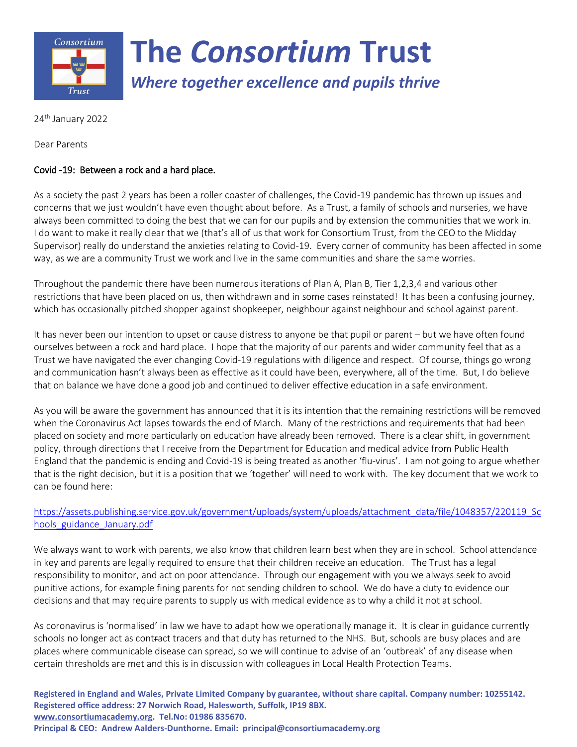

24<sup>th</sup> January 2022

Dear Parents

## Covid -19: Between a rock and a hard place.

As a society the past 2 years has been a roller coaster of challenges, the Covid-19 pandemic has thrown up issues and concerns that we just wouldn't have even thought about before. As a Trust, a family of schools and nurseries, we have always been committed to doing the best that we can for our pupils and by extension the communities that we work in. I do want to make it really clear that we (that's all of us that work for Consortium Trust, from the CEO to the Midday Supervisor) really do understand the anxieties relating to Covid-19. Every corner of community has been affected in some way, as we are a community Trust we work and live in the same communities and share the same worries.

Throughout the pandemic there have been numerous iterations of Plan A, Plan B, Tier 1,2,3,4 and various other restrictions that have been placed on us, then withdrawn and in some cases reinstated! It has been a confusing journey, which has occasionally pitched shopper against shopkeeper, neighbour against neighbour and school against parent.

It has never been our intention to upset or cause distress to anyone be that pupil or parent – but we have often found ourselves between a rock and hard place. I hope that the majority of our parents and wider community feel that as a Trust we have navigated the ever changing Covid-19 regulations with diligence and respect. Of course, things go wrong and communication hasn't always been as effective as it could have been, everywhere, all of the time. But, I do believe that on balance we have done a good job and continued to deliver effective education in a safe environment.

As you will be aware the government has announced that it is its intention that the remaining restrictions will be removed when the Coronavirus Act lapses towards the end of March. Many of the restrictions and requirements that had been placed on society and more particularly on education have already been removed. There is a clear shift, in government policy, through directions that I receive from the Department for Education and medical advice from Public Health England that the pandemic is ending and Covid-19 is being treated as another 'flu-virus'. I am not going to argue whether that is the right decision, but it is a position that we 'together' will need to work with. The key document that we work to can be found here:

## [https://assets.publishing.service.gov.uk/government/uploads/system/uploads/attachment\\_data/file/1048357/220119\\_Sc](https://assets.publishing.service.gov.uk/government/uploads/system/uploads/attachment_data/file/1048357/220119_Schools_guidance_January.pdf) [hools\\_guidance\\_January.pdf](https://assets.publishing.service.gov.uk/government/uploads/system/uploads/attachment_data/file/1048357/220119_Schools_guidance_January.pdf)

We always want to work with parents, we also know that children learn best when they are in school. School attendance in key and parents are legally required to ensure that their children receive an education. The Trust has a legal responsibility to monitor, and act on poor attendance. Through our engagement with you we always seek to avoid punitive actions, for example fining parents for not sending children to school. We do have a duty to evidence our decisions and that may require parents to supply us with medical evidence as to why a child it not at school.

As coronavirus is 'normalised' in law we have to adapt how we operationally manage it. It is clear in guidance currently schools no longer act as contract tracers and that duty has returned to the NHS. But, schools are busy places and are places where communicable disease can spread, so we will continue to advise of an 'outbreak' of any disease when certain thresholds are met and this is in discussion with colleagues in Local Health Protection Teams.